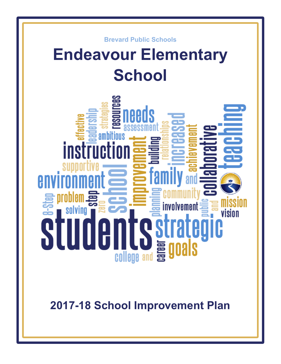

# **Endeavour Elementary School**



**2017-18 School Improvement Plan**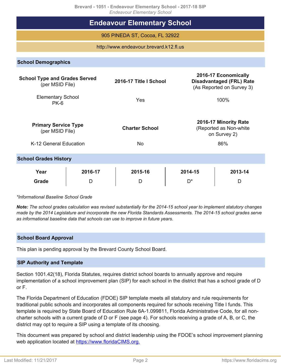**Brevard - 1051 - Endeavour Elementary School - 2017-18 SIP**

| Drevard - 1051 - Engeavour Elementary School - 2017-16 SiP<br><b>Endeavour Elementary School</b>                                                                          |              |                                    |               |                                                                        |  |  |  |  |
|---------------------------------------------------------------------------------------------------------------------------------------------------------------------------|--------------|------------------------------------|---------------|------------------------------------------------------------------------|--|--|--|--|
| <b>Endeavour Elementary School</b>                                                                                                                                        |              |                                    |               |                                                                        |  |  |  |  |
| 905 PINEDA ST, Cocoa, FL 32922                                                                                                                                            |              |                                    |               |                                                                        |  |  |  |  |
| http://www.endeavour.brevard.k12.fl.us                                                                                                                                    |              |                                    |               |                                                                        |  |  |  |  |
| <b>School Demographics</b>                                                                                                                                                |              |                                    |               |                                                                        |  |  |  |  |
| 2016-17 Economically<br><b>School Type and Grades Served</b><br><b>Disadvantaged (FRL) Rate</b><br>2016-17 Title I School<br>(per MSID File)<br>(As Reported on Survey 3) |              |                                    |               |                                                                        |  |  |  |  |
| <b>Elementary School</b><br>$PK-6$                                                                                                                                        |              | Yes                                |               | 100%                                                                   |  |  |  |  |
| <b>Primary Service Type</b><br>(per MSID File)<br>K-12 General Education                                                                                                  |              | <b>Charter School</b><br><b>No</b> |               | 2016-17 Minority Rate<br>(Reported as Non-white<br>on Survey 2)<br>86% |  |  |  |  |
| <b>School Grades History</b>                                                                                                                                              |              |                                    |               |                                                                        |  |  |  |  |
| Year<br><b>Grade</b>                                                                                                                                                      | 2016-17<br>D | 2015-16<br>D                       | 2014-15<br>D* | 2013-14<br>D                                                           |  |  |  |  |

*\*Informational Baseline School Grade*

*Note: The school grades calculation was revised substantially for the 2014-15 school year to implement statutory changes made by the 2014 Legislature and incorporate the new Florida Standards Assessments. The 2014-15 school grades serve as informational baseline data that schools can use to improve in future years.*

# **School Board Approval**

This plan is pending approval by the Brevard County School Board.

#### **SIP Authority and Template**

Section 1001.42(18), Florida Statutes, requires district school boards to annually approve and require implementation of a school improvement plan (SIP) for each school in the district that has a school grade of D or F.

The Florida Department of Education (FDOE) SIP template meets all statutory and rule requirements for traditional public schools and incorporates all components required for schools receiving Title I funds. This template is required by State Board of Education Rule 6A-1.099811, Florida Administrative Code, for all noncharter schools with a current grade of D or F (see page 4). For schools receiving a grade of A, B, or C, the district may opt to require a SIP using a template of its choosing.

This document was prepared by school and district leadership using the FDOE's school improvement planning web application located at [https://www.floridaCIMS.org.](https://www.floridacims.org)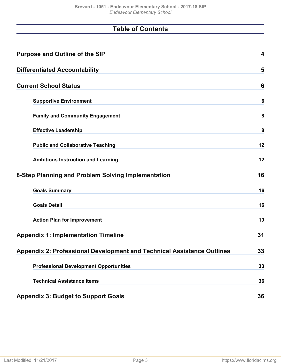# **Table of Contents**

| <b>Purpose and Outline of the SIP</b>                                         | 4  |
|-------------------------------------------------------------------------------|----|
| <b>Differentiated Accountability</b>                                          | 5  |
| <b>Current School Status</b>                                                  | 6  |
| <b>Supportive Environment</b>                                                 | 6  |
| <b>Family and Community Engagement</b>                                        | 8  |
| <b>Effective Leadership</b>                                                   | 8  |
| <b>Public and Collaborative Teaching</b>                                      | 12 |
| <b>Ambitious Instruction and Learning</b>                                     | 12 |
| 8-Step Planning and Problem Solving Implementation                            | 16 |
| <b>Goals Summary</b>                                                          | 16 |
| <b>Goals Detail</b>                                                           | 16 |
| <b>Action Plan for Improvement</b>                                            | 19 |
| <b>Appendix 1: Implementation Timeline</b>                                    | 31 |
| <b>Appendix 2: Professional Development and Technical Assistance Outlines</b> | 33 |
| <b>Professional Development Opportunities</b>                                 | 33 |
| <b>Technical Assistance Items</b>                                             | 36 |
| <b>Appendix 3: Budget to Support Goals</b>                                    | 36 |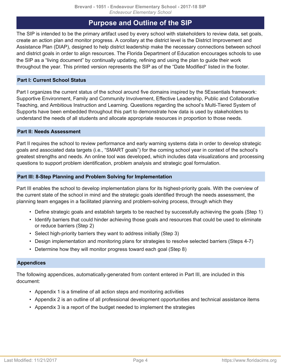# **Purpose and Outline of the SIP**

<span id="page-3-0"></span>The SIP is intended to be the primary artifact used by every school with stakeholders to review data, set goals, create an action plan and monitor progress. A corollary at the district level is the District Improvement and Assistance Plan (DIAP), designed to help district leadership make the necessary connections between school and district goals in order to align resources. The Florida Department of Education encourages schools to use the SIP as a "living document" by continually updating, refining and using the plan to guide their work throughout the year. This printed version represents the SIP as of the "Date Modified" listed in the footer.

# **Part I: Current School Status**

Part I organizes the current status of the school around five domains inspired by the 5Essentials framework: Supportive Environment, Family and Community Involvement, Effective Leadership, Public and Collaborative Teaching, and Ambitious Instruction and Learning. Questions regarding the school's Multi-Tiered System of Supports have been embedded throughout this part to demonstrate how data is used by stakeholders to understand the needs of all students and allocate appropriate resources in proportion to those needs.

# **Part II: Needs Assessment**

Part II requires the school to review performance and early warning systems data in order to develop strategic goals and associated data targets (i.e., "SMART goals") for the coming school year in context of the school's greatest strengths and needs. An online tool was developed, which includes data visualizations and processing questions to support problem identification, problem analysis and strategic goal formulation.

# **Part III: 8-Step Planning and Problem Solving for Implementation**

Part III enables the school to develop implementation plans for its highest-priority goals. With the overview of the current state of the school in mind and the strategic goals identified through the needs assessment, the planning team engages in a facilitated planning and problem-solving process, through which they

- Define strategic goals and establish targets to be reached by successfully achieving the goals (Step 1)
- Identify barriers that could hinder achieving those goals and resources that could be used to eliminate or reduce barriers (Step 2)
- Select high-priority barriers they want to address initially (Step 3)
- Design implementation and monitoring plans for strategies to resolve selected barriers (Steps 4-7)
- Determine how they will monitor progress toward each goal (Step 8)

# **Appendices**

The following appendices, automatically-generated from content entered in Part III, are included in this document:

- Appendix 1 is a timeline of all action steps and monitoring activities
- Appendix 2 is an outline of all professional development opportunities and technical assistance items
- Appendix 3 is a report of the budget needed to implement the strategies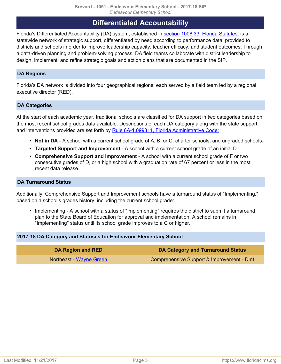# **Differentiated Accountability**

<span id="page-4-0"></span>Florida's Differentiated Accountability (DA) system, established in [section 1008.33, Florida Statutes,](http://www.leg.state.fl.us/Statutes/index.cfm?App_mode=Display_Statute&Search_String=&URL=1000-1099/1008/Sections/1008.33.html) is a statewide network of strategic support, differentiated by need according to performance data, provided to districts and schools in order to improve leadership capacity, teacher efficacy, and student outcomes. Through a data-driven planning and problem-solving process, DA field teams collaborate with district leadership to design, implement, and refine strategic goals and action plans that are documented in the SIP.

# **DA Regions**

Florida's DA network is divided into four geographical regions, each served by a field team led by a regional executive director (RED).

# **DA Categories**

At the start of each academic year, traditional schools are classified for DA support in two categories based on the most recent school grades data available. Descriptions of each DA category along with the state support and interventions provided are set forth by [Rule 6A-1.099811, Florida Administrative Code:](https://www.flrules.org/gateway/ruleNo.asp?id=6A-1.099811)

- **Not in DA** A school with a current school grade of A, B, or C; charter schools; and ungraded schools.
- **Targeted Support and Improvement** A school with a current school grade of an initial D.
- **Comprehensive Support and Improvement** A school with a current school grade of F or two consecutive grades of D, or a high school with a graduation rate of 67 percent or less in the most recent data release.

# **DA Turnaround Status**

Additionally, Comprehensive Support and Improvement schools have a turnaround status of "Implementing," based on a school's grades history, including the current school grade:

• Implementing - A school with a status of "Implementing" requires the district to submit a turnaround plan to the State Board of Education for approval and implementation. A school remains in "Implementing" status until its school grade improves to a C or higher.

# **2017-18 DA Category and Statuses for Endeavour Elementary School**

| DA Region and RED       | DA Category and Turnaround Status         |
|-------------------------|-------------------------------------------|
| Northeast - Wayne Green | Comprehensive Support & Improvement - Dmt |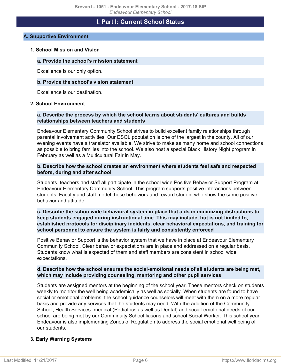# **I. Part I: Current School Status**

# <span id="page-5-1"></span><span id="page-5-0"></span>**A. Supportive Environment**

#### **1. School Mission and Vision**

#### **a. Provide the school's mission statement**

Excellence is our only option.

#### **b. Provide the school's vision statement**

Excellence is our destination.

#### **2. School Environment**

#### **a. Describe the process by which the school learns about students' cultures and builds relationships between teachers and students**

Endeavour Elementary Community School strives to build excellent family relationships through parental involvement activities. Our ESOL population is one of the largest in the county. All of our evening events have a translator available. We strive to make as many home and school connections as possible to bring families into the school. We also host a special Black History Night program in February as well as a Multicultural Fair in May.

#### **b. Describe how the school creates an environment where students feel safe and respected before, during and after school**

Students, teachers and staff all participate in the school wide Positive Behavior Support Program at Endeavour Elementary Community School. This program supports positive interactions between students. Faculty and staff model these behaviors and reward student who show the same positive behavior and attitude.

#### **c. Describe the schoolwide behavioral system in place that aids in minimizing distractions to keep students engaged during instructional time. This may include, but is not limited to, established protocols for disciplinary incidents, clear behavioral expectations, and training for school personnel to ensure the system is fairly and consistently enforced**

Positive Behavior Support is the behavior system that we have in place at Endeavour Elementary Community School. Clear behavior expectations are in place and addressed on a regular basis. Students know what is expected of them and staff members are consistent in school wide expectations.

#### **d. Describe how the school ensures the social-emotional needs of all students are being met, which may include providing counseling, mentoring and other pupil services**

Students are assigned mentors at the beginning of the school year. These mentors check on students weekly to monitor the well being academically as well as socially. When students are found to have social or emotional problems, the school guidance counselors will meet with them on a more regular basis and provide any services that the students may need. With the addition of the Community School, Health Services- medical (Pediatrics as well as Dental) and social-emotional needs of our school are being met by our Comminuity School liasons and school Social Worker. This school year Endeavour is also implementing Zones of Regulation to address the social emotional well being of our students.

# **3. Early Warning Systems**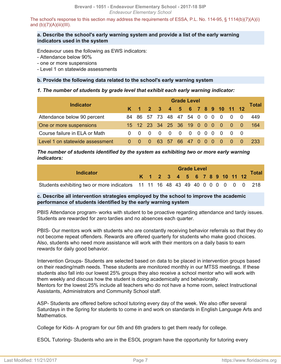The school's response to this section may address the requirements of ESSA, P.L. No. 114-95, § 1114(b)(7)(A)(i) and  $(b)(7)(A)(iii)(III)$ .

## **a. Describe the school's early warning system and provide a list of the early warning indicators used in the system**

Endeavour uses the following as EWS indicators:

- Attendance below 90%

- one or more suspensions
- Level 1 on statewide assessments

# **b. Provide the following data related to the school's early warning system**

#### *1. The number of students by grade level that exhibit each early warning indicator:*

| <b>Indicator</b>                |          | <b>Grade Level</b> |          |     |                |                                |             |  |  |  |     | <b>Total</b> |          |      |
|---------------------------------|----------|--------------------|----------|-----|----------------|--------------------------------|-------------|--|--|--|-----|--------------|----------|------|
|                                 |          |                    |          |     |                | K 1 2 3 4 5 6 7 8 9 10 11 12   |             |  |  |  |     |              |          |      |
| Attendance below 90 percent     |          |                    |          |     |                | 84 86 57 73 48 47 54 0 0 0 0   |             |  |  |  |     | - 0          | $\Omega$ | 449  |
| One or more suspensions         |          |                    |          |     |                | 15 12 23 34 25 36 19 0 0 0 0 0 |             |  |  |  |     |              | ി വ      | -164 |
| Course failure in ELA or Math   |          | $0\quad 0\quad 0$  |          | - 0 | $\overline{0}$ | $\overline{0}$                 |             |  |  |  |     | $00000000$   |          |      |
| Level 1 on statewide assessment | $\Omega$ |                    | $\Omega$ |     | 63 57          |                                | 66 47 0 0 0 |  |  |  | - 0 | - 0          |          | -233 |

*The number of students identified by the system as exhibiting two or more early warning indicators:*

| Indicator                                                                       |  | <b>Grade Level</b> |  |  |  |  |  |  |  |  |  |  |                              |              |
|---------------------------------------------------------------------------------|--|--------------------|--|--|--|--|--|--|--|--|--|--|------------------------------|--------------|
|                                                                                 |  |                    |  |  |  |  |  |  |  |  |  |  | K 1 2 3 4 5 6 7 8 9 10 11 12 | <b>Total</b> |
| Students exhibiting two or more indicators 11 11 16 48 43 49 40 0 0 0 0 0 0 218 |  |                    |  |  |  |  |  |  |  |  |  |  |                              |              |

# **c. Describe all intervention strategies employed by the school to improve the academic performance of students identified by the early warning system**

PBIS Attendance program- works with student to be proactive regarding attendance and tardy issues. Students are rewarded for zero tardies and no absences each quarter.

PBIS- Our mentors work with students who are constantly receiving behavior referrals so that they do not become repeat offenders. Rewards are offered quarterly for students who make good choices. Also, students who need more assistance will work with their mentors on a daily basis to earn rewards for daily good behavior.

Intervention Groups- Students are selected based on data to be placed in intervention groups based on their reading/math needs. These students are monitored monthly in our MTSS meetings. If these students also fall into our lowest 25% groups they also receive a school mentor who will work with them weekly and discuss how the student is doing academically and behaviorally. Mentors for the lowest 25% include all teachers who do not have a home room, select Instructional

Assistants, Administrators and Community School staff.

ASP- Students are offered before school tutoring every day of the week. We also offer several Saturdays in the Spring for students to come in and work on standards in English Language Arts and Mathematics.

College for Kids- A program for our 5th and 6th graders to get them ready for college.

ESOL Tutoring- Students who are in the ESOL program have the opportunity for tutoring every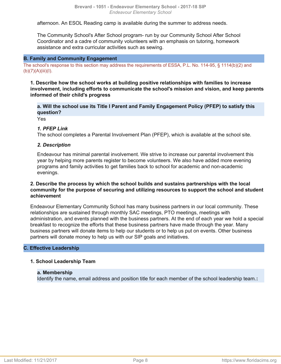afternoon. An ESOL Reading camp is available during the summer to address needs.

The Community School's After School program- run by our Community School After School Coordinator and a cadre of community volunteers with an emphasis on tutoring, homework assistance and extra curricular activities such as sewing.

#### <span id="page-7-0"></span>**B. Family and Community Engagement**

The school's response to this section may address the requirements of ESSA, P.L. No. 114-95, § 1114(b)(2) and  $(b)(7)(A)(iii)(I).$ 

**1. Describe how the school works at building positive relationships with families to increase involvement, including efforts to communicate the school's mission and vision, and keep parents informed of their child's progress**

**a. Will the school use its Title I Parent and Family Engagement Policy (PFEP) to satisfy this question?**

Yes

#### *1. PFEP Link*

The school completes a Parental Involvement Plan (PFEP), which is available at the school site.

#### *2. Description*

Endeavour has minimal parental involvement. We strive to increase our parental involvement this year by helping more parents register to become volunteers. We also have added more evening programs and family activities to get families back to school for academic and non-academic evenings.

#### **2. Describe the process by which the school builds and sustains partnerships with the local community for the purpose of securing and utilizing resources to support the school and student achievement**

Endeavour Elementary Community School has many business partners in our local community. These relationships are sustained through monthly SAC meetings, PTO meetings, meetings with administration, and events planned with the business partners. At the end of each year we hold a special breakfast to recognize the efforts that these business partners have made through the year. Many business partners will donate items to help our students or to help us put on events. Other business partners will donate money to help us with our SIP goals and initiatives.

#### <span id="page-7-1"></span>**C. Effective Leadership**

#### **1. School Leadership Team**

#### **a. Membership**

Identify the name, email address and position title for each member of the school leadership team.**:**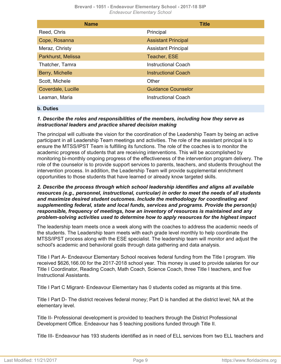| <b>Name</b>        | <b>Title</b>               |
|--------------------|----------------------------|
| Reed, Chris        | Principal                  |
| Cope, Rosanna      | <b>Assistant Principal</b> |
| Meraz, Christy     | <b>Assistant Principal</b> |
| Parkhurst, Melissa | Teacher, ESE               |
| Thatcher, Tamra    | Instructional Coach        |
| Berry, Michelle    | <b>Instructional Coach</b> |
| Scott, Michele     | Other                      |
| Coverdale, Lucille | <b>Guidance Counselor</b>  |
| Leaman, Maria      | Instructional Coach        |

#### **b. Duties**

# *1. Describe the roles and responsibilities of the members, including how they serve as instructional leaders and practice shared decision making*

The principal will cultivate the vision for the coordination of the Leadership Team by being an active participant in all Leadership Team meetings and activities. The role of the assistant principal is to ensure the MTSS/IPST Team is fulfilling its functions. The role of the coaches is to monitor the academic progress of students that are receiving interventions. This will be accomplished by monitoring bi-monthly ongoing progress of the effectiveness of the intervention program delivery. The role of the counselor is to provide support services to parents, teachers, and students throughout the intervention process. In addition, the Leadership Team will provide supplemental enrichment opportunities to those students that have learned or already know targeted skills.

*2. Describe the process through which school leadership identifies and aligns all available resources (e.g., personnel, instructional, curricular) in order to meet the needs of all students and maximize desired student outcomes. Include the methodology for coordinating and supplementing federal, state and local funds, services and programs. Provide the person(s) responsible, frequency of meetings, how an inventory of resources is maintained and any problem-solving activities used to determine how to apply resources for the highest impact*

The leadership team meets once a week along with the coaches to address the academic needs of the students. The Leadership team meets with each grade level monthly to help coordinate the MTSS/IPST process along with the ESE specialist. The leadership team will monitor and adjust the school's academic and behavioral goals through data gathering and data analysis.

Title I Part A- Endeavour Elementary School receives federal funding from the Title I program. We received \$626,166.00 for the 2017-2018 school year. This money is used to provide salaries for our Title I Coordinator, Reading Coach, Math Coach, Science Coach, three Title I teachers, and five Instructional Assistants.

Title I Part C Migrant- Endeavour Elementary has 0 students coded as migrants at this time.

Title I Part D- The district receives federal money; Part D is handled at the district level; NA at the elementary level.

Title II- Professional development is provided to teachers through the District Professional Development Office. Endeavour has 5 teaching positions funded through Title II.

Title III- Endeavour has 193 students identified as in need of ELL services from two ELL teachers and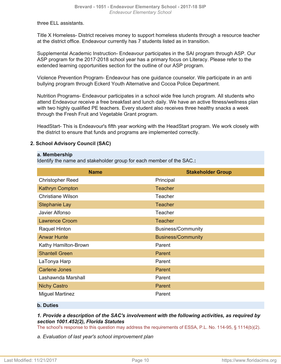three ELL assistants.

Title X Homeless- District receives money to support homeless students through a resource teacher at the district office. Endeavour currently has 7 students listed as in transition.

Supplemental Academic Instruction- Endeavour participates in the SAI program through ASP. Our ASP program for the 2017-2018 school year has a primary focus on Literacy. Please refer to the extended learning opportunities section for the outline of our ASP program.

Violence Prevention Program- Endeavour has one guidance counselor. We participate in an anti bullying program through Eckerd Youth Alternative and Cocoa Police Department.

Nutrition Programs- Endeavour participates in a school wide free lunch program. All students who attend Endeavour receive a free breakfast and lunch daily. We have an active fitness/wellness plan with two highly qualified PE teachers. Every student also receives three healthy snacks a week through the Fresh Fruit and Vegetable Grant program.

HeadStart- This is Endeavour's fifth year working with the HeadStart program. We work closely with the district to ensure that funds and programs are implemented correctly.

# **2. School Advisory Council (SAC)**

#### **a. Membership**

Identify the name and stakeholder group for each member of the SAC.**:**

| <b>Name</b>              | <b>Stakeholder Group</b>  |
|--------------------------|---------------------------|
| <b>Christopher Reed</b>  | Principal                 |
| <b>Kathryn Compton</b>   | <b>Teacher</b>            |
| <b>Christiane Wilson</b> | Teacher                   |
| Stephanie Lay            | <b>Teacher</b>            |
| Javier Alfonso           | Teacher                   |
| <b>Lawrence Croom</b>    | <b>Teacher</b>            |
| Raquel Hinton            | <b>Business/Community</b> |
| <b>Anwar Hunte</b>       | <b>Business/Community</b> |
| Kathy Hamilton-Brown     | Parent                    |
| <b>Shantell Green</b>    | Parent                    |
| LaTonya Harp             | Parent                    |
| <b>Carlene Jones</b>     | Parent                    |
| Lashawnda Marshall       | Parent                    |
| <b>Nichy Castro</b>      | Parent                    |
| <b>Miguel Martinez</b>   | Parent                    |

# **b. Duties**

# *1. Provide a description of the SAC's involvement with the following activities, as required by section 1001.452(2), Florida Statutes*

The school's response to this question may address the requirements of ESSA, P.L. No. 114-95, § 1114(b)(2).

*a. Evaluation of last year's school improvement plan*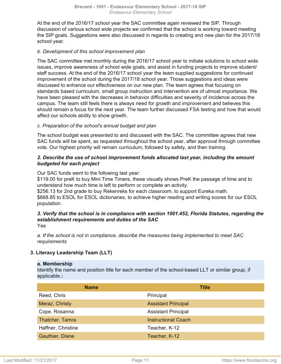At the end of the 2016/17 school year the SAC committee again reviewed the SIP. Through discussion of various school wide projects we confirmed that the school is working toward meeting the SIP goals. Suggestions were also discussed in regards to creating and new plan for the 2017/18 school year.

# *b. Development of this school improvement plan*

The SAC committee met monthly during the 2016/17 school year to initiate solutions to school wide issues, improve awareness of school wide goals, and assist in funding projects to improve student/ staff success. At the end of the 2016/17 school year the team supplied suggestions for continued improvement of the school during the 2017/18 school year. Those suggestions and ideas were discussed to enhance our effectiveness on our new plan. The team agrees that focusing on standards based curriculum, small group instruction and intervention are of utmost importance. We have been pleased with the decreases in behavior difficulties and severity of incidence across the campus. The team still feels there is always need for growth and improvement and believes this should remain a focus for the next year. The team further discussed FSA testing and how that would affect our schools ability to show growth.

# *c. Preparation of the school's annual budget and plan*

The school budget was presented to and discussed with the SAC. The committee agrees that new SAC funds will be spent, as requested throughout the school year, after approval through committee vote. Our highest priority will remain curriculum, followed by safety, and then training.

# *2. Describe the use of school improvement funds allocated last year, including the amount budgeted for each project*

Our SAC funds went to the following last year:

\$119.00 for preK to buy Mini Time Timers, these visually shows PreK the passage of time and to understand how much time is left to perform or complete an activity.

\$256.13 for 2nd grade to buy Rekenreks for each classroom, to support Eureka math. \$668.85 to ESOL for ESOL dictionaries, to achieve higher reading and writing scores for our ESOL population.

#### *3. Verify that the school is in compliance with section 1001.452, Florida Statutes, regarding the establishment requirements and duties of the SAC* Yes

*a. If the school is not in compliance, describe the measures being implemented to meet SAC requirements*

# **3. Literacy Leadership Team (LLT)**

# **a. Membership**

Identify the name and position title for each member of the school-based LLT or similar group, if applicable.**:**

| <b>Name</b>        | <b>Title</b>               |
|--------------------|----------------------------|
| Reed, Chris        | Principal                  |
| Meraz, Christy     | <b>Assistant Principal</b> |
| Cope, Rosanna      | <b>Assistant Principal</b> |
| Thatcher, Tamra    | <b>Instructional Coach</b> |
| Haffner, Christine | Teacher, K-12              |
| Gauthier, Diane    | Teacher, K-12              |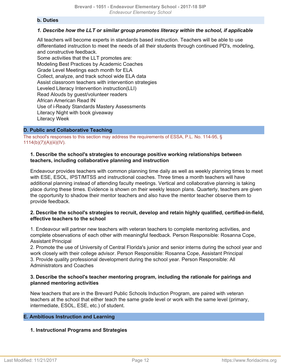#### **b. Duties**

# *1. Describe how the LLT or similar group promotes literacy within the school, if applicable*

All teachers will become experts in standards based instruction. Teachers will be able to use differentiated instruction to meet the needs of all their students through continued PD's, modeling, and constructive feedback.

Some activities that the LLT promotes are: Modeling Best Practices by Academic Coaches Grade Level Meetings each month for ELA Collect, analyze, and track school wide ELA data Assist classroom teachers with intervention strategies Leveled Literacy Intervention instruction(LLI) Read Alouds by guest/volunteer readers African American Read IN Use of i-Ready Standards Mastery Assessments Literacy Night with book giveaway Literacy Week

#### <span id="page-11-0"></span>**D. Public and Collaborative Teaching**

The school's responses to this section may address the requirements of ESSA, P.L. No. 114-95, § 1114(b)(7)(A)(iii)(IV).

## **1. Describe the school's strategies to encourage positive working relationships between teachers, including collaborative planning and instruction**

Endeavour provides teachers with common planning time daily as well as weekly planning times to meet with ESE, ESOL, IPST/MTSS and instructional coaches. Three times a month teachers will have additional planning instead of attending faculty meetings. Vertical and collaborative planning is taking place during these times. Evidence is shown on their weekly lesson plans. Quarterly, teachers are given the opportunity to shadow their mentor teachers and also have the mentor teacher observe them to provide feedback.

#### **2. Describe the school's strategies to recruit, develop and retain highly qualified, certified-in-field, effective teachers to the school**

1. Endeavour will partner new teachers with veteran teachers to complete mentoring activities, and complete observations of each other with meaningful feedback. Person Responsible: Rosanna Cope, Assistant Principal

2. Promote the use of University of Central Florida's junior and senior interns during the school year and work closely with their college advisor. Person Responsible: Rosanna Cope, Assistant Principal 3. Provide quality professional development during the school year. Person Responsible: All Administrators and Coaches

# **3. Describe the school's teacher mentoring program, including the rationale for pairings and planned mentoring activities**

New teachers that are in the Brevard Public Schools Induction Program, are paired with veteran teachers at the school that either teach the same grade level or work with the same level (primary, intermediate, ESOL, ESE, etc.) of student.

# <span id="page-11-1"></span>**E. Ambitious Instruction and Learning**

# **1. Instructional Programs and Strategies**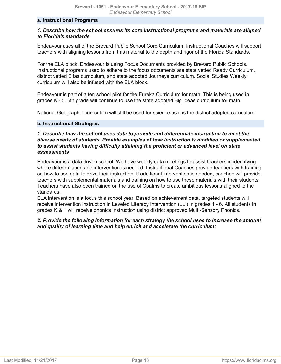#### **a. Instructional Programs**

# *1. Describe how the school ensures its core instructional programs and materials are aligned to Florida's standards*

Endeavour uses all of the Brevard Public School Core Curriculum. Instructional Coaches will support teachers with aligning lessons from this material to the depth and rigor of the Florida Standards.

For the ELA block, Endeavour is using Focus Documents provided by Brevard Public Schools. Instructional programs used to adhere to the focus documents are state vetted Ready Curriculum, district vetted Elfas curriculum, and state adopted Journeys curriculum. Social Studies Weekly curriculum will also be infused with the ELA block.

Endeavour is part of a ten school pilot for the Eureka Curriculum for math. This is being used in grades K - 5. 6th grade will continue to use the state adopted Big Ideas curriculum for math.

National Geographic curriculum will still be used for science as it is the district adopted curriculum.

#### **b. Instructional Strategies**

# *1. Describe how the school uses data to provide and differentiate instruction to meet the diverse needs of students. Provide examples of how instruction is modified or supplemented to assist students having difficulty attaining the proficient or advanced level on state assessments*

Endeavour is a data driven school. We have weekly data meetings to assist teachers in identifying where differentiation and intervention is needed. Instructional Coaches provide teachers with training on how to use data to drive their instruction. If additional intervention is needed, coaches will provide teachers with supplemental materials and training on how to use these materials with their students. Teachers have also been trained on the use of Cpalms to create ambitious lessons aligned to the standards.

ELA intervention is a focus this school year. Based on achievement data, targeted students will receive intervention instruction in Leveled Literacy Intervention (LLI) in grades 1 - 6. All students in grades K & 1 will receive phonics instruction using district approved Multi-Sensory Phonics.

# *2. Provide the following information for each strategy the school uses to increase the amount and quality of learning time and help enrich and accelerate the curriculum:*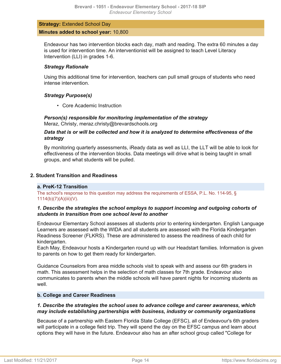# **Strategy:** Extended School Day **Minutes added to school year:** 10,800

Endeavour has two intervention blocks each day, math and reading. The extra 60 minutes a day is used for intervention time. An interventionist will be assigned to teach Level Literacy Intervention (LLI) in grades 1-6.

# *Strategy Rationale*

Using this additional time for intervention, teachers can pull small groups of students who need intense intervention.

# *Strategy Purpose(s)*

• Core Academic Instruction

*Person(s) responsible for monitoring implementation of the strategy* Meraz, Christy, meraz.christy@brevardschools.org

# *Data that is or will be collected and how it is analyzed to determine effectiveness of the strategy*

By monitoring quarterly assessments, iReady data as well as LLI, the LLT will be able to look for effectiveness of the intervention blocks. Data meetings will drive what is being taught in small groups, and what students will be pulled.

# **2. Student Transition and Readiness**

# **a. PreK-12 Transition**

The school's response to this question may address the requirements of ESSA, P.L. No. 114-95, § 1114(b)(7)(A)(iii)(V).

# *1. Describe the strategies the school employs to support incoming and outgoing cohorts of students in transition from one school level to another*

Endeavour Elementary School assesses all students prior to entering kindergarten. English Language Learners are assessed with the WIDA and all students are assessed with the Florida Kindergarten Readiness Screener (FLKRS). These are administered to assess the readiness of each child for kindergarten.

Each May, Endeavour hosts a Kindergarten round up with our Headstart families. Information is given to parents on how to get them ready for kindergarten.

Guidance Counselors from area middle schools visit to speak with and assess our 6th graders in math. This assessment helps in the selection of math classes for 7th grade. Endeavour also communicates to parents when the middle schools will have parent nights for incoming students as well

# **b. College and Career Readiness**

# *1. Describe the strategies the school uses to advance college and career awareness, which may include establishing partnerships with business, industry or community organizations*

Because of a partnership with Eastern Florida State College (EFSC), all of Endeavour's 6th graders will participate in a college field trip. They will spend the day on the EFSC campus and learn about options they will have in the future. Endeavour also has an after school group called "College for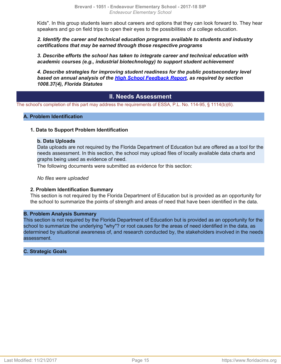Kids". In this group students learn about careers and options that they can look forward to. They hear speakers and go on field trips to open their eyes to the possibilities of a college education.

*2. Identify the career and technical education programs available to students and industry certifications that may be earned through those respective programs*

*3. Describe efforts the school has taken to integrate career and technical education with academic courses (e.g., industrial biotechnology) to support student achievement*

*4. Describe strategies for improving student readiness for the public postsecondary level based on annual analysis of the [High School Feedback Report,](http://data.fldoe.org/readiness/) as required by section 1008.37(4), Florida Statutes*

# **II. Needs Assessment**

The school's completion of this part may address the requirements of ESSA, P.L. No. 114-95, § 1114(b)(6).

#### **A. Problem Identification**

#### **1. Data to Support Problem Identification**

#### **b. Data Uploads**

Data uploads are not required by the Florida Department of Education but are offered as a tool for the needs assessment. In this section, the school may upload files of locally available data charts and graphs being used as evidence of need.

The following documents were submitted as evidence for this section:

*No files were uploaded*

#### **2. Problem Identification Summary**

This section is not required by the Florida Department of Education but is provided as an opportunity for the school to summarize the points of strength and areas of need that have been identified in the data.

#### **B. Problem Analysis Summary**

This section is not required by the Florida Department of Education but is provided as an opportunity for the school to summarize the underlying "why"? or root causes for the areas of need identified in the data, as determined by situational awareness of, and research conducted by, the stakeholders involved in the needs assessment.

#### **C. Strategic Goals**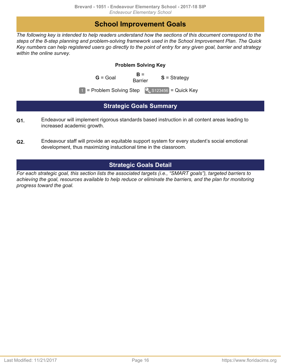# **School Improvement Goals**

<span id="page-15-0"></span>*The following key is intended to help readers understand how the sections of this document correspond to the steps of the 8-step planning and problem-solving framework used in the School Improvement Plan. The Quick Key numbers can help registered users go directly to the point of entry for any given goal, barrier and strategy within the online survey.*

# **Problem Solving Key**

 $G =$  Goal **B** =

**S** = Strategy

 $\boxed{1}$  = Problem Solving Step  $\boxed{9}$  S123456 = Quick Key

# **Strategic Goals Summary**

- <span id="page-15-1"></span>Endeavour will implement rigorous standards based instruction in all content areas leading to increased academic growth. **G1.**
- Endeavour staff will provide an equitable support system for every student's social emotional development, thus maximizing instuctional time in the classroom. **G2.**

# **Strategic Goals Detail**

<span id="page-15-2"></span>*For each strategic goal, this section lists the associated targets (i.e., "SMART goals"), targeted barriers to achieving the goal, resources available to help reduce or eliminate the barriers, and the plan for monitoring progress toward the goal.*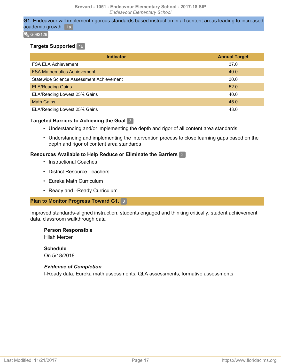**G1.** Endeavour will implement rigorous standards based instruction in all content areas leading to increased academic growth. 1a

 $\sqrt{6092129}$ 

# **Targets Supported** 1b

| <b>Indicator</b>                         | <b>Annual Target</b> |
|------------------------------------------|----------------------|
| <b>FSA ELA Achievement</b>               | 37.0                 |
| <b>FSA Mathematics Achievement</b>       | 40.0                 |
| Statewide Science Assessment Achievement | 30.0                 |
| <b>ELA/Reading Gains</b>                 | 52.0                 |
| ELA/Reading Lowest 25% Gains             | 40.0                 |
| <b>Math Gains</b>                        | 45.0                 |
| ELA/Reading Lowest 25% Gains             | 43.0                 |

# **Targeted Barriers to Achieving the Goal** 3

- Understanding and/or implementing the depth and rigor of all content area standards.
- Understanding and implementing the intervention process to close learning gaps based on the depth and rigor of content area standards

# **Resources Available to Help Reduce or Eliminate the Barriers** 2

- Instructional Coaches
- District Resource Teachers
- Eureka Math Curriculum
- Ready and i-Ready Curriculum

# **Plan to Monitor Progress Toward G1.** 8

Improved standards-aligned instruction, students engaged and thinking critically, student achievement data, classroom walkthrough data

# **Person Responsible**

Hilah Mercer

# **Schedule**

On 5/18/2018

# *Evidence of Completion*

I-Ready data, Eureka math assessments, QLA assessments, formative assessments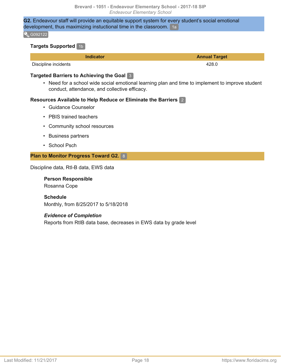# **G2.** Endeavour staff will provide an equitable support system for every student's social emotional development, thus maximizing instuctional time in the classroom. 1a

#### $\sqrt{6092122}$

### **Targets Supported** 1b

| <b>Indicator</b>     | <b>Annual Target</b> |
|----------------------|----------------------|
| Discipline incidents | 428.0                |

# **Targeted Barriers to Achieving the Goal** 3

• Need for a school wide social emotional learning plan and time to implement to improve student conduct, attendance, and collective efficacy.

#### **Resources Available to Help Reduce or Eliminate the Barriers** 2

- Guidance Counselor
- PBIS trained teachers
- Community school resources
- Business partners
- School Psch

#### **Plan to Monitor Progress Toward G2.** 8

Discipline data, RtI-B data, EWS data

#### **Person Responsible**

Rosanna Cope

#### **Schedule**

Monthly, from 8/25/2017 to 5/18/2018

#### *Evidence of Completion*

Reports from RtIB data base, decreases in EWS data by grade level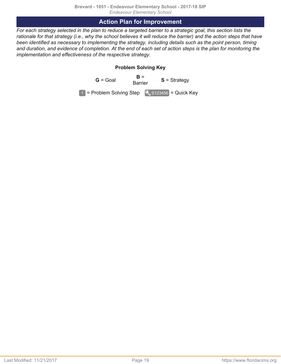# **Action Plan for Improvement**

<span id="page-18-0"></span>*For each strategy selected in the plan to reduce a targeted barrier to a strategic goal, this section lists the rationale for that strategy (i.e., why the school believes it will reduce the barrier) and the action steps that have been identified as necessary to implementing the strategy, including details such as the point person, timing and duration, and evidence of completion. At the end of each set of action steps is the plan for monitoring the implementation and effectiveness of the respective strategy.*

# **Problem Solving Key**

 $G =$  Goal  $B =$ <br>Barrier **S** = Strategy  $\boxed{1}$  = Problem Solving Step  $\boxed{9}$  S123456 = Quick Key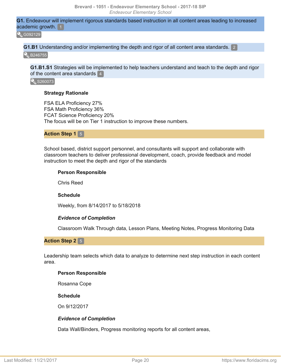**G1.** Endeavour will implement rigorous standards based instruction in all content areas leading to increased academic growth. 1

**Q**G092129

**G1.B1** Understanding and/or implementing the depth and rigor of all content area standards. 2

**B**<sub>B246755</sub>

**G1.B1.S1** Strategies will be implemented to help teachers understand and teach to the depth and rigor of the content area standards 4

S260073

#### **Strategy Rationale**

FSA ELA Proficiency 27% FSA Math Proficiency 36% FCAT Science Proficiency 20% The focus will be on Tier 1 instruction to improve these numbers.

**Action Step 1** 5

School based, district support personnel, and consultants will support and collaborate with classroom teachers to deliver professional development, coach, provide feedback and model instruction to meet the depth and rigor of the standards

#### **Person Responsible**

Chris Reed

#### **Schedule**

Weekly, from 8/14/2017 to 5/18/2018

#### *Evidence of Completion*

Classroom Walk Through data, Lesson Plans, Meeting Notes, Progress Monitoring Data

**Action Step 2** 5

Leadership team selects which data to analyze to determine next step instruction in each content area.

#### **Person Responsible**

Rosanna Cope

#### **Schedule**

On 9/12/2017

#### *Evidence of Completion*

Data Wall/Binders, Progress monitoring reports for all content areas,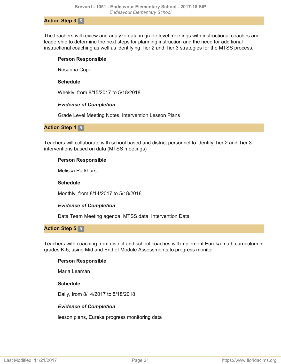#### **Action Step 3** 5

The teachers will review and analyze data in grade level meetings with instructional coaches and leadership to determine the next steps for planning instruction and the need for additional instructional coaching as well as identifying Tier 2 and Tier 3 strategies for the MTSS process.

#### **Person Responsible**

Rosanna Cope

#### **Schedule**

Weekly, from 8/15/2017 to 5/18/2018

#### *Evidence of Completion*

Grade Level Meeting Notes, Intervention Lesson Plans

#### **Action Step 4** 5

Teachers will collaborate with school based and district personnel to identify Tier 2 and Tier 3 interventions based on data (MTSS meetings)

# **Person Responsible**

Melissa Parkhurst

## **Schedule**

Monthly, from 8/14/2017 to 5/18/2018

# *Evidence of Completion*

Data Team Meeting agenda, MTSS data, Intervention Data

# **Action Step 5** 5

Teachers with coaching from district and school coaches will implement Eureka math curriculum in grades K-5, using Mid and End of Module Assessments to progress monitor

# **Person Responsible**

Maria Leaman

#### **Schedule**

Daily, from 8/14/2017 to 5/18/2018

# *Evidence of Completion*

lesson plans, Eureka progress monitoring data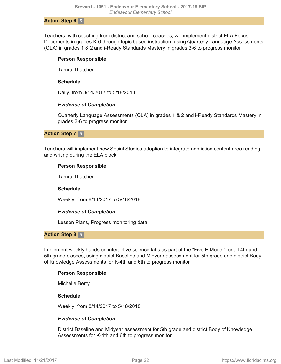#### **Action Step 6** 5

Teachers, with coaching from district and school coaches, will implement district ELA Focus Documents in grades K-6 through topic based instruction, using Quarterly Language Assessments (QLA) in grades 1 & 2 and i-Ready Standards Mastery in grades 3-6 to progress monitor

#### **Person Responsible**

Tamra Thatcher

#### **Schedule**

Daily, from 8/14/2017 to 5/18/2018

# *Evidence of Completion*

Quarterly Language Assessments (QLA) in grades 1 & 2 and i-Ready Standards Mastery in grades 3-6 to progress monitor

## **Action Step 7** 5

Teachers will implement new Social Studies adoption to integrate nonfiction content area reading and writing during the ELA block

#### **Person Responsible**

Tamra Thatcher

# **Schedule**

Weekly, from 8/14/2017 to 5/18/2018

# *Evidence of Completion*

Lesson Plans, Progress monitoring data

#### **Action Step 8** 5

Implement weekly hands on interactive science labs as part of the "Five E Model" for all 4th and 5th grade classes, using district Baseline and Midyear assessment for 5th grade and district Body of Knowledge Assessments for K-4th and 6th to progress monitor

# **Person Responsible**

Michelle Berry

#### **Schedule**

Weekly, from 8/14/2017 to 5/18/2018

# *Evidence of Completion*

District Baseline and Midyear assessment for 5th grade and district Body of Knowledge Assessments for K-4th and 6th to progress monitor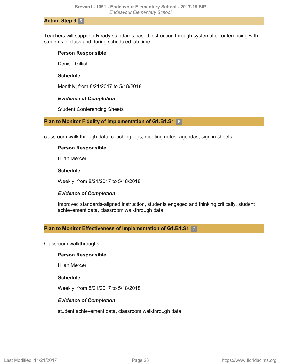#### **Action Step 9** 5

Teachers will support i-Ready standards based instruction through systematic conferencing with students in class and during scheduled lab time

#### **Person Responsible**

Denise Gillich

#### **Schedule**

Monthly, from 8/21/2017 to 5/18/2018

#### *Evidence of Completion*

Student Conferencing Sheets

#### **Plan to Monitor Fidelity of Implementation of G1.B1.S1** 6

classroom walk through data, coaching logs, meeting notes, agendas, sign in sheets

#### **Person Responsible**

Hilah Mercer

#### **Schedule**

Weekly, from 8/21/2017 to 5/18/2018

# *Evidence of Completion*

Improved standards-aligned instruction, students engaged and thinking critically, student achievement data, classroom walkthrough data

# **Plan to Monitor Effectiveness of Implementation of G1.B1.S1** 7

Classroom walkthroughs

#### **Person Responsible**

Hilah Mercer

#### **Schedule**

Weekly, from 8/21/2017 to 5/18/2018

#### *Evidence of Completion*

student achievement data, classroom walkthrough data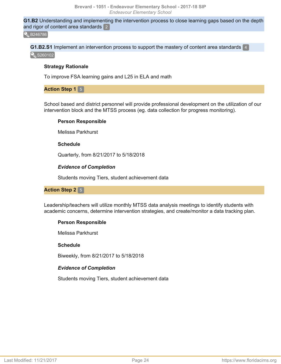**G1.B2** Understanding and implementing the intervention process to close learning gaps based on the depth and rigor of content area standards  $2$ 

**Q**B246786

**G1.B2.S1** Implement an intervention process to support the mastery of content area standards 4 S260102

# **Strategy Rationale**

To improve FSA learning gains and L25 in ELA and math

# **Action Step 1 5**

School based and district personnel will provide professional development on the utilization of our intervention block and the MTSS process (eg. data collection for progress monitoring).

# **Person Responsible**

Melissa Parkhurst

# **Schedule**

Quarterly, from 8/21/2017 to 5/18/2018

# *Evidence of Completion*

Students moving Tiers, student achievement data

# **Action Step 2** 5

Leadership/teachers will utilize monthly MTSS data analysis meetings to identify students with academic concerns, determine intervention strategies, and create/monitor a data tracking plan.

# **Person Responsible**

Melissa Parkhurst

# **Schedule**

Biweekly, from 8/21/2017 to 5/18/2018

# *Evidence of Completion*

Students moving Tiers, student achievement data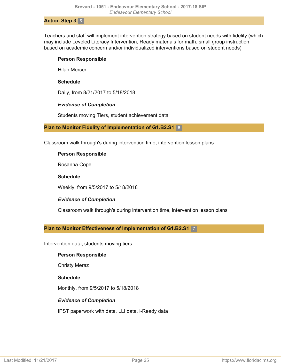#### **Action Step 3** 5

Teachers and staff will implement intervention strategy based on student needs with fidelity (which may include Leveled Literacy Intervention, Ready materials for math, small group instruction based on academic concern and/or individualized interventions based on student needs)

#### **Person Responsible**

Hilah Mercer

#### **Schedule**

Daily, from 8/21/2017 to 5/18/2018

#### *Evidence of Completion*

Students moving Tiers, student achievement data

#### **Plan to Monitor Fidelity of Implementation of G1.B2.S1** 6

Classroom walk through's during intervention time, intervention lesson plans

#### **Person Responsible**

Rosanna Cope

#### **Schedule**

Weekly, from 9/5/2017 to 5/18/2018

# *Evidence of Completion*

Classroom walk through's during intervention time, intervention lesson plans

# **Plan to Monitor Effectiveness of Implementation of G1.B2.S1** 7

Intervention data, students moving tiers

#### **Person Responsible**

Christy Meraz

# **Schedule**

Monthly, from 9/5/2017 to 5/18/2018

# *Evidence of Completion*

IPST paperwork with data, LLI data, i-Ready data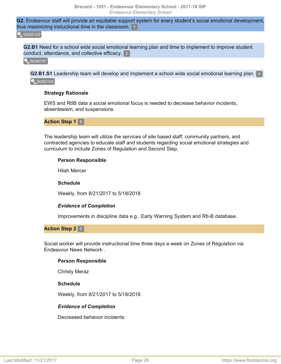**G2.** Endeavour staff will provide an equitable support system for every student's social emotional development, thus maximizing instuctional time in the classroom. 1

#### **Q**G092122

**G2.B1** Need for a school wide social emotional learning plan and time to implement to improve student conduct, attendance, and collective efficacy. 2

**B246787** 

**G2.B1.S1** Leadership team will develop and implement a school wide social emotional learning plan. 4 S260104

#### **Strategy Rationale**

EWS and RtIB data a social emotional focus is needed to decrease behavior incidents, absenteeism, and suspensions.

#### **Action Step 1** 5

The leadership team will utilize the services of site based staff, community partners, and contracted agencies to educate staff and students regarding social emotional strategies and curriculum to include Zones of Regulation and Second Step.

#### **Person Responsible**

Hilah Mercer

#### **Schedule**

Weekly, from 8/21/2017 to 5/18/2018

#### *Evidence of Completion*

Improvements in discipline data e.g.. Early Warning System and RtI-B database.

**Action Step 2** 5

Social worker will provide instructional time three days a week on Zones of Regulation via Endeavour News Network .

#### **Person Responsible**

Christy Meraz

#### **Schedule**

Weekly, from 8/21/2017 to 5/18/2018

#### *Evidence of Completion*

Decreased behavior incidents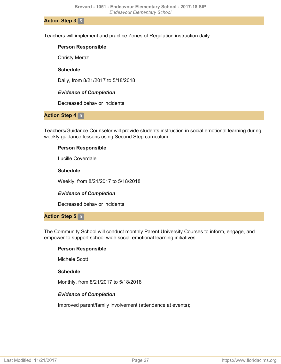**Action Step 3** 5

Teachers will implement and practice Zones of Regulation instruction daily

#### **Person Responsible**

Christy Meraz

## **Schedule**

Daily, from 8/21/2017 to 5/18/2018

# *Evidence of Completion*

Decreased behavior incidents

# **Action Step 4 5**

Teachers/Guidance Counselor will provide students instruction in social emotional learning during weekly guidance lessons using Second Step curriculum

# **Person Responsible**

Lucille Coverdale

# **Schedule**

Weekly, from 8/21/2017 to 5/18/2018

# *Evidence of Completion*

Decreased behavior incidents

# **Action Step 5** 5

The Community School will conduct monthly Parent University Courses to inform, engage, and empower to support school wide social emotional learning initiatives.

# **Person Responsible**

Michele Scott

# **Schedule**

Monthly, from 8/21/2017 to 5/18/2018

# *Evidence of Completion*

Improved parent/family involvement (attendance at events);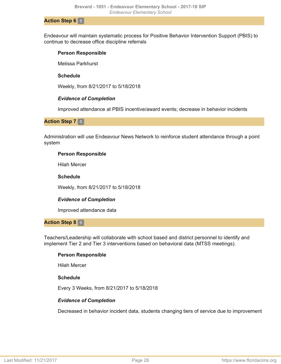#### **Action Step 6** 5

Endeavour will maintain systematic process for Positive Behavior Intervention Support (PBIS) to continue to decrease office discipline referrals

#### **Person Responsible**

Melissa Parkhurst

#### **Schedule**

Weekly, from 8/21/2017 to 5/18/2018

#### *Evidence of Completion*

Improved attendance at PBIS incentive/award events; decrease in behavior incidents

#### **Action Step 7** 5

Administration will use Endeavour News Network to reinforce student attendance through a point system

#### **Person Responsible**

Hilah Mercer

#### **Schedule**

Weekly, from 8/21/2017 to 5/18/2018

# *Evidence of Completion*

Improved attendance data

#### **Action Step 8** 5

Teachers/Leadership will collaborate with school based and district personnel to identify and implement Tier 2 and Tier 3 interventions based on behavioral data (MTSS meetings).

#### **Person Responsible**

Hilah Mercer

#### **Schedule**

Every 3 Weeks, from 8/21/2017 to 5/18/2018

#### *Evidence of Completion*

Decreased in behavior incident data, students changing tiers of service due to improvement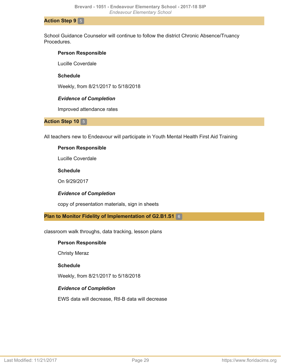#### **Action Step 9** 5

School Guidance Counselor will continue to follow the district Chronic Absence/Truancy **Procedures** 

#### **Person Responsible**

Lucille Coverdale

## **Schedule**

Weekly, from 8/21/2017 to 5/18/2018

#### *Evidence of Completion*

Improved attendance rates

#### **Action Step 10 5**

All teachers new to Endeavour will participate in Youth Mental Health First Aid Training

#### **Person Responsible**

Lucille Coverdale

#### **Schedule**

On 9/29/2017

# *Evidence of Completion*

copy of presentation materials, sign in sheets

**Plan to Monitor Fidelity of Implementation of G2.B1.S1** 6

classroom walk throughs, data tracking, lesson plans

#### **Person Responsible**

Christy Meraz

#### **Schedule**

Weekly, from 8/21/2017 to 5/18/2018

# *Evidence of Completion*

EWS data will decrease, RtI-B data will decrease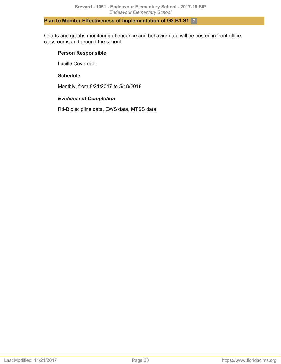# **Plan to Monitor Effectiveness of Implementation of G2.B1.S1** 7

Charts and graphs monitoring attendance and behavior data will be posted in front office, classrooms and around the school.

# **Person Responsible**

Lucille Coverdale

# **Schedule**

Monthly, from 8/21/2017 to 5/18/2018

# *Evidence of Completion*

RtI-B discipline data, EWS data, MTSS data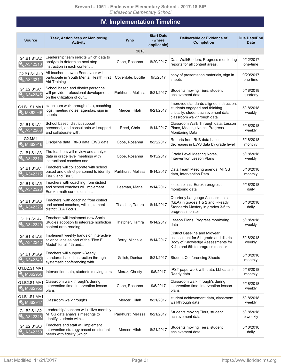# **IV. Implementation Timeline**

<span id="page-30-0"></span>

| <b>Source</b>                  | <b>Task, Action Step or Monitoring</b><br><b>Activity</b>                                                 | Who                | <b>Start Date</b><br>(where<br>applicable) | Deliverable or Evidence of<br><b>Completion</b>                                                                                                  | <b>Due Date/End</b><br><b>Date</b> |
|--------------------------------|-----------------------------------------------------------------------------------------------------------|--------------------|--------------------------------------------|--------------------------------------------------------------------------------------------------------------------------------------------------|------------------------------------|
|                                |                                                                                                           | 2018               |                                            |                                                                                                                                                  |                                    |
| G1.B1.S1.A2<br>A342310         | Leadership team selects which data to<br>analyze to determine next step<br>instruction in each content    | Cope, Rosanna      | 8/29/2017                                  | Data Wall/Binders, Progress monitoring<br>reports for all content areas,                                                                         | 9/12/2017<br>one-time              |
| G2.B1.S1.A10<br>A343311        | All teachers new to Endeavour will<br>participate in Youth Mental Health First<br>Aid Training            | Coverdale, Lucille | 9/5/2017                                   | copy of presentation materials, sign in<br>sheets                                                                                                | 9/29/2017<br>one-time              |
| G1.B2.S1.A1<br>A342345         | School based and district personnel<br>will provide professional development<br>on the utilization of our | Parkhurst, Melissa | 8/21/2017                                  | Students moving Tiers, student<br>achievement data                                                                                               | 5/18/2018<br>quarterly             |
| G1.B1.S1.MA1<br><b>M362946</b> | classroom walk through data, coaching<br>logs, meeting notes, agendas, sign in<br>sheets                  | Mercer, Hilah      | 8/21/2017                                  | Improved standards-aligned instruction,<br>students engaged and thinking<br>critically, student achievement data,<br>classroom walkthrough data  | 5/18/2018<br>weekly                |
| G1.B1.S1.A1<br>A342308         | School based, district support<br>personnel, and consultants will support<br>and collaborate with         | Reed, Chris        | 8/14/2017                                  | Classroom Walk Through data, Lesson<br>Plans, Meeting Notes, Progress<br><b>Monitoring Data</b>                                                  | 5/18/2018<br>weekly                |
| G2.MA1<br>M362916              | Discipline data, RtI-B data, EWS data                                                                     | Cope, Rosanna      | 8/25/2017                                  | Reports from RtIB data base,<br>decreases in EWS data by grade level                                                                             | 5/18/2018<br>monthly               |
| G1.B1.S1.A3<br>A342314         | The teachers will review and analyze<br>data in grade level meetings with<br>instructional coaches and    | Cope, Rosanna      | 8/15/2017                                  | Grade Level Meeting Notes,<br><b>Intervention Lesson Plans</b>                                                                                   | 5/18/2018<br>weekly                |
| G1.B1.S1.A4<br>A342315         | Teachers will collaborate with school<br>based and district personnel to identify<br>Tier 2 and Tier 3    | Parkhurst, Melissa | 8/14/2017                                  | Data Team Meeting agenda, MTSS<br>data, Intervention Data                                                                                        | 5/18/2018<br>monthly               |
| G1.B1.S1.A5<br>A342323         | Teachers with coaching from district<br>and school coaches will implement<br>Eureka math curriculum in    | Leaman, Maria      | 8/14/2017                                  | lesson plans, Eureka progress<br>monitoring data                                                                                                 | 5/18/2018<br>daily                 |
| G1.B1.S1.A6<br>A342326         | Teachers, with coaching from district<br>and school coaches, will implement<br>district ELA Focus         | Thatcher, Tamra    | 8/14/2017                                  | Quarterly Language Assessments<br>(QLA) in grades 1 & 2 and i-Ready<br>Standards Mastery in grades 3-6 to<br>progress monitor                    | 5/18/2018<br>daily                 |
| G1.B1.S1.A7<br>A342340         | Teachers will implement new Social<br>Studies adoption to integrate nonfiction<br>content area reading    | Thatcher, Tamra    | 8/14/2017                                  | Lesson Plans, Progress monitoring<br>data                                                                                                        | 5/18/2018<br>weekly                |
| G1.B1.S1.A8<br>A342342         | Implement weekly hands on interactive<br>science labs as part of the "Five E<br>Model" for all 4th and    | Berry, Michelle    | 8/14/2017                                  | District Baseline and Midyear<br>assessment for 5th grade and district<br>Body of Knowledge Assessments for<br>K-4th and 6th to progress monitor | 5/18/2018<br>weekly                |
| G1.B1.S1.A9<br>A342343         | Teachers will support i-Ready<br>standards based instruction through<br>systematic conferencing with      | Gillich, Denise    | 8/21/2017                                  | <b>Student Conferencing Sheets</b>                                                                                                               | 5/18/2018<br>monthly               |
| G1.B2.S1.MA1<br>M362956        | Intervention data, students moving tiers                                                                  | Meraz, Christy     | 9/5/2017                                   | IPST paperwork with data, LLI data, i-<br>Ready data                                                                                             | 5/18/2018<br>monthly               |
| G1.B2.S1.MA1<br>M362952        | Classroom walk through's during<br>intervention time, intervention lesson<br>plans                        | Cope, Rosanna      | 9/5/2017                                   | Classroom walk through's during<br>intervention time, intervention lesson<br>plans                                                               | 5/18/2018<br>weekly                |
| G1.B1.S1.MA1<br>M362947        | Classroom walkthroughs                                                                                    | Mercer, Hilah      | 8/21/2017                                  | student achievement data, classroom<br>walkthrough data                                                                                          | 5/18/2018<br>weekly                |
| G1.B2.S1.A2<br>A342348         | Leadership/teachers will utilize monthly<br>MTSS data analysis meetings to<br>identify students with      | Parkhurst, Melissa | 8/21/2017                                  | Students moving Tiers, student<br>achievement data                                                                                               | 5/18/2018<br>biweekly              |
| G1.B2.S1.A3<br>A342350         | Teachers and staff will implement<br>intervention strategy based on student<br>needs with fidelity (which | Mercer, Hilah      | 8/21/2017                                  | Students moving Tiers, student<br>achievement data                                                                                               | 5/18/2018<br>daily                 |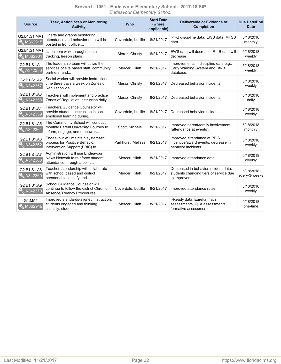#### **Brevard - 1051 - Endeavour Elementary School - 2017-18 SIP** *Endeavour Elementary School*

| <b>Source</b>                    | <b>Task, Action Step or Monitoring</b><br><b>Activity</b>                                                | <b>Who</b>         | <b>Start Date</b><br>(where<br>applicable) | Deliverable or Evidence of<br><b>Completion</b>                                                  | <b>Due Date/End</b><br><b>Date</b> |
|----------------------------------|----------------------------------------------------------------------------------------------------------|--------------------|--------------------------------------------|--------------------------------------------------------------------------------------------------|------------------------------------|
| G2.B1.S1.MA1<br><b>X</b> M362915 | Charts and graphs monitoring<br>attendance and behavior data will be<br>posted in front office           | Coverdale, Lucille | 8/21/2017                                  | RtI-B discipline data, EWS data, MTSS<br>data                                                    | 5/18/2018<br>monthly               |
| G2.B1.S1.MA1<br><b>M362901</b>   | classroom walk throughs, data<br>tracking, lesson plans                                                  | Meraz, Christy     | 8/21/2017                                  | EWS data will decrease, RtI-B data will<br>decrease                                              | 5/18/2018<br>weekly                |
| G2.B1.S1.A1<br>A342356           | The leadership team will utilize the<br>services of site based staff, community<br>partners, and         | Mercer, Hilah      | 8/21/2017                                  | Improvements in discipline data e.g<br>Early Warning System and RtI-B<br>database.               | 5/18/2018<br>weekly                |
| G2.B1.S1.A2<br>A342357           | Social worker will provide instructional<br>time three days a week on Zones of<br>Regulation via         | Meraz, Christy     | 8/21/2017                                  | Decreased behavior incidents                                                                     | 5/18/2018<br>weekly                |
| G2.B1.S1.A3<br>A342358           | Teachers will implement and practice<br>Zones of Regulation instruction daily                            | Meraz, Christy     | 8/21/2017                                  | Decreased behavior incidents                                                                     | 5/18/2018<br>daily                 |
| G2.B1.S1.A4<br><b>A342359</b>    | Teachers/Guidance Counselor will<br>provide students instruction in social<br>emotional learning during  | Coverdale, Lucille | 8/21/2017                                  | Decreased behavior incidents                                                                     | 5/18/2018<br>weekly                |
| G2.B1.S1.A5<br>A342361           | The Community School will conduct<br>monthly Parent University Courses to<br>inform, engage, and empower | Scott, Michele     | 8/21/2017                                  | Improved parent/family involvement<br>(attendance at events);                                    | 5/18/2018<br>monthly               |
| G2.B1.S1.A6<br>A342362           | Endeavour will maintain systematic<br>process for Positive Behavior<br>Intervention Support (PBIS) to    | Parkhurst, Melissa | 8/21/2017                                  | Improved attendance at PBIS<br>incentive/award events; decrease in<br>behavior incidents         | 5/18/2018<br>weekly                |
| G2.B1.S1.A7<br>A342368           | Administration will use Endeavour<br>News Network to reinforce student<br>attendance through a point     | Mercer, Hilah      | 8/21/2017                                  | Improved attendance data                                                                         | 5/18/2018<br>weekly                |
| G2.B1.S1.A8<br>A342369           | Teachers/Leadership will collaborate<br>with school based and district<br>personnel to identify and      | Mercer, Hilah      | 8/21/2017                                  | Decreased in behavior incident data.<br>students changing tiers of service due<br>to improvement | 5/18/2018<br>every-3-weeks         |
| G2.B1.S1.A9<br>A342370           | School Guidance Counselor will<br>continue to follow the district Chronic<br>Absence/Truancy Procedures. | Coverdale, Lucille | 8/21/2017                                  | Improved attendance rates                                                                        | 5/18/2018<br>weekly                |
| G1.MA1<br>M362949                | Improved standards-aligned instruction,<br>students engaged and thinking<br>critically, student          | Mercer, Hilah      | 8/21/2017                                  | I-Ready data, Eureka math<br>assessments, QLA assessments,<br>formative assessments              | 5/18/2018<br>one-time              |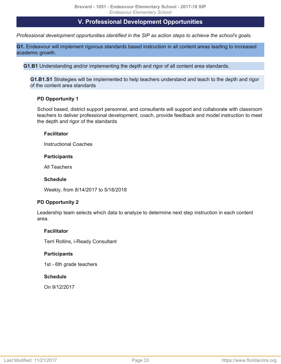# **V. Professional Development Opportunities**

<span id="page-32-1"></span><span id="page-32-0"></span>*Professional development opportunities identified in the SIP as action steps to achieve the school's goals.*

**G1.** Endeavour will implement rigorous standards based instruction in all content areas leading to increased academic growth.

**G1.B1** Understanding and/or implementing the depth and rigor of all content area standards.

**G1.B1.S1** Strategies will be implemented to help teachers understand and teach to the depth and rigor of the content area standards

# **PD Opportunity 1**

School based, district support personnel, and consultants will support and collaborate with classroom teachers to deliver professional development, coach, provide feedback and model instruction to meet the depth and rigor of the standards

# **Facilitator**

Instructional Coaches

#### **Participants**

All Teachers

## **Schedule**

Weekly, from 8/14/2017 to 5/18/2018

# **PD Opportunity 2**

Leadership team selects which data to analyze to determine next step instruction in each content area.

# **Facilitator**

Terri Rollins, i-Ready Consultant

# **Participants**

1st - 6th grade teachers

# **Schedule**

On 9/12/2017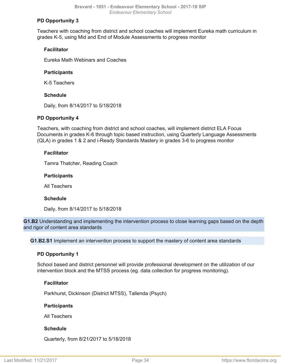# **PD Opportunity 3**

Teachers with coaching from district and school coaches will implement Eureka math curriculum in grades K-5, using Mid and End of Module Assessments to progress monitor

# **Facilitator**

Eureka Math Webinars and Coaches

# **Participants**

K-5 Teachers

# **Schedule**

Daily, from 8/14/2017 to 5/18/2018

# **PD Opportunity 4**

Teachers, with coaching from district and school coaches, will implement district ELA Focus Documents in grades K-6 through topic based instruction, using Quarterly Language Assessments (QLA) in grades 1 & 2 and i-Ready Standards Mastery in grades 3-6 to progress monitor

# **Facilitator**

Tamra Thatcher, Reading Coach

# **Participants**

All Teachers

# **Schedule**

Daily, from 8/14/2017 to 5/18/2018

**G1.B2** Understanding and implementing the intervention process to close learning gaps based on the depth and rigor of content area standards

**G1.B2.S1** Implement an intervention process to support the mastery of content area standards

# **PD Opportunity 1**

School based and district personnel will provide professional development on the utilization of our intervention block and the MTSS process (eg. data collection for progress monitoring).

# **Facilitator**

Parkhurst, Dickinson (District MTSS), Tallenda (Psych)

# **Participants**

All Teachers

# **Schedule**

Quarterly, from 8/21/2017 to 5/18/2018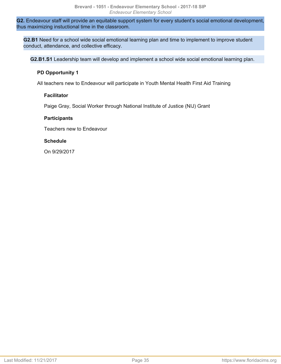**G2.** Endeavour staff will provide an equitable support system for every student's social emotional development, thus maximizing instuctional time in the classroom.

**G2.B1** Need for a school wide social emotional learning plan and time to implement to improve student conduct, attendance, and collective efficacy.

**G2.B1.S1** Leadership team will develop and implement a school wide social emotional learning plan.

#### **PD Opportunity 1**

All teachers new to Endeavour will participate in Youth Mental Health First Aid Training

#### **Facilitator**

Paige Gray, Social Worker through National Institute of Justice (NIJ) Grant

#### **Participants**

Teachers new to Endeavour

#### **Schedule**

On 9/29/2017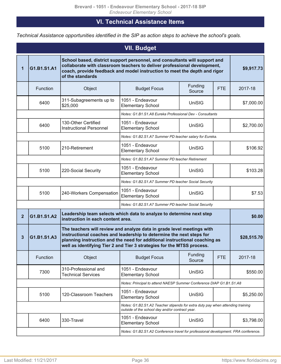# **VI. Technical Assistance Items**

<span id="page-35-0"></span>*Technical Assistance opportunities identified in the SIP as action steps to achieve the school's goals.*

<span id="page-35-1"></span>

| <b>VII. Budget</b> |                                                                                    |                                                                                                                                                                                                                                                                                                        |                                                                                                                                   |                   |            |             |
|--------------------|------------------------------------------------------------------------------------|--------------------------------------------------------------------------------------------------------------------------------------------------------------------------------------------------------------------------------------------------------------------------------------------------------|-----------------------------------------------------------------------------------------------------------------------------------|-------------------|------------|-------------|
| 1                  | G1.B1.S1.A1                                                                        | School based, district support personnel, and consultants will support and<br>collaborate with classroom teachers to deliver professional development,<br>coach, provide feedback and model instruction to meet the depth and rigor<br>of the standards                                                |                                                                                                                                   |                   |            | \$9,917.73  |
|                    | Function                                                                           | Object                                                                                                                                                                                                                                                                                                 | <b>Budget Focus</b>                                                                                                               | Funding<br>Source | <b>FTE</b> | 2017-18     |
|                    | 6400                                                                               | 311-Subagreements up to<br>\$25,000                                                                                                                                                                                                                                                                    | 1051 - Endeavour<br><b>Elementary School</b>                                                                                      | UniSIG            |            | \$7,000.00  |
|                    |                                                                                    |                                                                                                                                                                                                                                                                                                        | Notes: G1.B1.S1.A8 Eureka Professional Dev - Consultants                                                                          |                   |            |             |
|                    | 6400                                                                               | 130-Other Certified<br><b>Instructional Personnel</b>                                                                                                                                                                                                                                                  | 1051 - Endeavour<br><b>Elementary School</b>                                                                                      | UniSIG            |            | \$2,700.00  |
|                    |                                                                                    |                                                                                                                                                                                                                                                                                                        | Notes: G1.B2.S1.A7 Summer PD teacher salary for Eureka.                                                                           |                   |            |             |
|                    | 5100                                                                               | 210-Retirement                                                                                                                                                                                                                                                                                         | 1051 - Endeavour<br><b>Elementary School</b>                                                                                      | UniSIG            |            | \$106.92    |
|                    |                                                                                    |                                                                                                                                                                                                                                                                                                        | Notes: G1.B2.S1.A7 Summer PD teacher Retirement                                                                                   |                   |            |             |
|                    | 5100                                                                               | 220-Social Security                                                                                                                                                                                                                                                                                    | 1051 - Endeavour<br><b>Elementary School</b>                                                                                      | UniSIG            |            | \$103.28    |
|                    | Notes: G1.B2.S1.A7 Summer PD teacher Social Security                               |                                                                                                                                                                                                                                                                                                        |                                                                                                                                   |                   |            |             |
|                    | 5100                                                                               | 240-Workers Compensation                                                                                                                                                                                                                                                                               | 1051 - Endeavour<br><b>Elementary School</b>                                                                                      | UniSIG            |            | \$7.53      |
|                    |                                                                                    |                                                                                                                                                                                                                                                                                                        | Notes: G1.B2.S1.A7 Summer PD teacher Social Security                                                                              |                   |            |             |
| $\overline{2}$     | G1.B1.S1.A2                                                                        | instruction in each content area.                                                                                                                                                                                                                                                                      | Leadership team selects which data to analyze to determine next step                                                              |                   |            | \$0.00      |
| $\mathbf{3}$       | G1.B1.S1.A3                                                                        | The teachers will review and analyze data in grade level meetings with<br>instructional coaches and leadership to determine the next steps for<br>planning instruction and the need for additional instructional coaching as<br>well as identifying Tier 2 and Tier 3 strategies for the MTSS process. |                                                                                                                                   |                   |            | \$28,515.70 |
|                    | Function                                                                           | Object                                                                                                                                                                                                                                                                                                 | <b>Budget Focus</b>                                                                                                               | Funding<br>Source | <b>FTE</b> | 2017-18     |
|                    | 7300                                                                               | 310-Professional and<br><b>Technical Services</b>                                                                                                                                                                                                                                                      | 1051 - Endeavour<br><b>Elementary School</b>                                                                                      | UniSIG            |            | \$550.00    |
|                    |                                                                                    | Notes: Principal to attend NAESP Summer Conference DIAP G1.B1.S1.A8                                                                                                                                                                                                                                    |                                                                                                                                   |                   |            |             |
|                    | 5100                                                                               | 120-Classroom Teachers                                                                                                                                                                                                                                                                                 | 1051 - Endeavour<br><b>Elementary School</b>                                                                                      | UniSIG            |            | \$5,250.00  |
|                    |                                                                                    |                                                                                                                                                                                                                                                                                                        | Notes: G1.B2.S1.A2 Teacher stipends for extra duty pay when attending training<br>outside of the school day and/or contract year. |                   |            |             |
|                    | 6400                                                                               | 330-Travel                                                                                                                                                                                                                                                                                             | 1051 - Endeavour<br><b>Elementary School</b>                                                                                      | UniSIG            |            | \$3,798.00  |
|                    | Notes: G1.B2.S1.A2 Conference travel for professional development. FRA conference. |                                                                                                                                                                                                                                                                                                        |                                                                                                                                   |                   |            |             |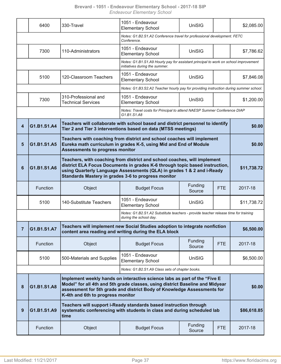|                | 6400                                                                                   | 330-Travel                                                                                                                                                                                                                                                                               | 1051 - Endeavour<br><b>Elementary School</b>                                                                                                                                                                                          | <b>UniSIG</b>     |            | \$2,085.00  |  |
|----------------|----------------------------------------------------------------------------------------|------------------------------------------------------------------------------------------------------------------------------------------------------------------------------------------------------------------------------------------------------------------------------------------|---------------------------------------------------------------------------------------------------------------------------------------------------------------------------------------------------------------------------------------|-------------------|------------|-------------|--|
|                | Notes: G1.B2.S1.A2 Conference travel for professional development. FETC<br>Conference. |                                                                                                                                                                                                                                                                                          |                                                                                                                                                                                                                                       |                   |            |             |  |
|                | 7300                                                                                   | 110-Administrators                                                                                                                                                                                                                                                                       | 1051 - Endeavour<br><b>Elementary School</b>                                                                                                                                                                                          | <b>UniSIG</b>     |            | \$7,786.62  |  |
|                |                                                                                        | Notes: G1.B1.S1.A9 Hourly pay for assistant principal to work on school improvement<br>initiatives during the summer.                                                                                                                                                                    |                                                                                                                                                                                                                                       |                   |            |             |  |
|                | 5100                                                                                   | 120-Classroom Teachers                                                                                                                                                                                                                                                                   | 1051 - Endeavour<br><b>Elementary School</b>                                                                                                                                                                                          | <b>UniSIG</b>     |            | \$7,846.08  |  |
|                |                                                                                        |                                                                                                                                                                                                                                                                                          | Notes: G1.B3.S2.A2 Teacher hourly pay for providing instruction during summer school.                                                                                                                                                 |                   |            |             |  |
|                | 7300                                                                                   | 310-Professional and<br><b>Technical Services</b>                                                                                                                                                                                                                                        | 1051 - Endeavour<br><b>Elementary School</b>                                                                                                                                                                                          | <b>UniSIG</b>     |            | \$1,200.00  |  |
|                |                                                                                        |                                                                                                                                                                                                                                                                                          | Notes: Travel costs for Principal to attend NAESP Summer Conference DIAP<br>G1.B1.S1.A8                                                                                                                                               |                   |            |             |  |
| 4              | G1.B1.S1.A4                                                                            |                                                                                                                                                                                                                                                                                          | Teachers will collaborate with school based and district personnel to identify<br>Tier 2 and Tier 3 interventions based on data (MTSS meetings)                                                                                       |                   |            | \$0.00      |  |
| 5              | G1.B1.S1.A5                                                                            | Teachers with coaching from district and school coaches will implement<br>Eureka math curriculum in grades K-5, using Mid and End of Module<br><b>Assessments to progress monitor</b>                                                                                                    | \$0.00                                                                                                                                                                                                                                |                   |            |             |  |
| 6              | G1.B1.S1.A6                                                                            | Teachers, with coaching from district and school coaches, will implement<br>district ELA Focus Documents in grades K-6 through topic based instruction,<br>using Quarterly Language Assessments (QLA) in grades 1 & 2 and i-Ready<br>Standards Mastery in grades 3-6 to progress monitor |                                                                                                                                                                                                                                       |                   |            | \$11,738.72 |  |
|                |                                                                                        |                                                                                                                                                                                                                                                                                          |                                                                                                                                                                                                                                       |                   |            |             |  |
|                | Function                                                                               | Object                                                                                                                                                                                                                                                                                   | <b>Budget Focus</b>                                                                                                                                                                                                                   | Funding<br>Source | <b>FTE</b> | 2017-18     |  |
|                | 5100                                                                                   | 140-Substitute Teachers                                                                                                                                                                                                                                                                  | 1051 - Endeavour<br><b>Elementary School</b>                                                                                                                                                                                          | <b>UniSIG</b>     |            | \$11,738.72 |  |
|                |                                                                                        |                                                                                                                                                                                                                                                                                          | Notes: G1.B2.S1.A2 Substitute teachers - provide teacher release time for training<br>during the school day.                                                                                                                          |                   |            |             |  |
| $\overline{7}$ | G1.B1.S1.A7                                                                            |                                                                                                                                                                                                                                                                                          | Teachers will implement new Social Studies adoption to integrate nonfiction<br>content area reading and writing during the ELA block                                                                                                  |                   |            | \$6,500.00  |  |
|                | Function                                                                               | Object                                                                                                                                                                                                                                                                                   | <b>Budget Focus</b>                                                                                                                                                                                                                   | Funding<br>Source | <b>FTE</b> | 2017-18     |  |
|                | 5100                                                                                   | 500-Materials and Supplies                                                                                                                                                                                                                                                               | 1051 - Endeavour<br><b>Elementary School</b>                                                                                                                                                                                          | <b>UniSIG</b>     |            | \$6,500.00  |  |
|                |                                                                                        |                                                                                                                                                                                                                                                                                          | Notes: G1.B2.S1.A9 Class sets of chapter books.                                                                                                                                                                                       |                   |            |             |  |
| 8              | G1.B1.S1.A8                                                                            | K-4th and 6th to progress monitor                                                                                                                                                                                                                                                        | Implement weekly hands on interactive science labs as part of the "Five E<br>Model" for all 4th and 5th grade classes, using district Baseline and Midyear<br>assessment for 5th grade and district Body of Knowledge Assessments for |                   |            | \$0.00      |  |
| 9              | G1.B1.S1.A9                                                                            | time                                                                                                                                                                                                                                                                                     | Teachers will support i-Ready standards based instruction through<br>systematic conferencing with students in class and during scheduled lab                                                                                          |                   |            | \$86,618.85 |  |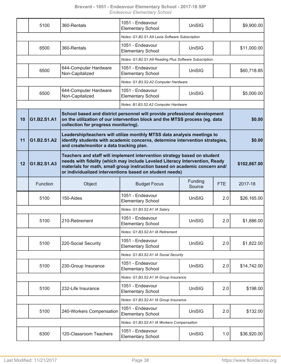|    | 5100                                                                                                                                                                                                            | 360-Rentals                                                                                                                                                                                                                                                                                                      | 1051 - Endeavour<br><b>Elementary School</b>           | UniSIG            |            | \$9,900.00  |
|----|-----------------------------------------------------------------------------------------------------------------------------------------------------------------------------------------------------------------|------------------------------------------------------------------------------------------------------------------------------------------------------------------------------------------------------------------------------------------------------------------------------------------------------------------|--------------------------------------------------------|-------------------|------------|-------------|
|    |                                                                                                                                                                                                                 | Notes: G1.B2.S1.A9 Lexia Software Subscription                                                                                                                                                                                                                                                                   |                                                        |                   |            |             |
|    | 6500                                                                                                                                                                                                            | 360-Rentals                                                                                                                                                                                                                                                                                                      | 1051 - Endeavour<br><b>Elementary School</b>           | <b>UniSIG</b>     |            | \$11,000.00 |
|    |                                                                                                                                                                                                                 |                                                                                                                                                                                                                                                                                                                  | Notes: G1.B2.S1.A9 Reading Plus Software Subscription. |                   |            |             |
|    | 6500                                                                                                                                                                                                            | 644-Computer Hardware<br>Non-Capitalized                                                                                                                                                                                                                                                                         | 1051 - Endeavour<br><b>Elementary School</b>           | UniSIG            |            | \$60,718.85 |
|    |                                                                                                                                                                                                                 |                                                                                                                                                                                                                                                                                                                  | Notes: G1.B3.S2.A2 Computer Hardware                   |                   |            |             |
|    | 6500                                                                                                                                                                                                            | 644-Computer Hardware<br>Non-Capitalized                                                                                                                                                                                                                                                                         | 1051 - Endeavour<br><b>Elementary School</b>           | <b>UniSIG</b>     |            | \$5,000.00  |
|    |                                                                                                                                                                                                                 |                                                                                                                                                                                                                                                                                                                  | Notes: B1.B3.S2.A2 Computer Hardware                   |                   |            |             |
| 10 | School based and district personnel will provide professional development<br>on the utilization of our intervention block and the MTSS process (eg. data<br>G1.B2.S1.A1<br>collection for progress monitoring). |                                                                                                                                                                                                                                                                                                                  |                                                        |                   |            | \$0.00      |
| 11 | G1.B2.S1.A2                                                                                                                                                                                                     | Leadership/teachers will utilize monthly MTSS data analysis meetings to<br>identify students with academic concerns, determine intervention strategies,<br>and create/monitor a data tracking plan.                                                                                                              | \$0.00                                                 |                   |            |             |
| 12 | G1.B2.S1.A3                                                                                                                                                                                                     | Teachers and staff will implement intervention strategy based on student<br>needs with fidelity (which may include Leveled Literacy Intervention, Ready<br>\$102,867.00<br>materials for math, small group instruction based on academic concern and/<br>or individualized interventions based on student needs) |                                                        |                   |            |             |
|    | Function                                                                                                                                                                                                        | Object                                                                                                                                                                                                                                                                                                           | <b>Budget Focus</b>                                    | Funding<br>Source | <b>FTE</b> | 2017-18     |
|    | 5100                                                                                                                                                                                                            | 150-Aides                                                                                                                                                                                                                                                                                                        | 1051 - Endeavour<br><b>Elementary School</b>           | <b>UniSIG</b>     | 2.0        | \$26,165.00 |
|    |                                                                                                                                                                                                                 |                                                                                                                                                                                                                                                                                                                  | Notes: G1.B3.S2.A1 IA Salary                           |                   |            |             |
|    | 5100                                                                                                                                                                                                            | 210-Retirement                                                                                                                                                                                                                                                                                                   | 1051 - Endeavour<br><b>Elementary School</b>           | UniSIG            | 2.0        | \$1,886.00  |
|    |                                                                                                                                                                                                                 |                                                                                                                                                                                                                                                                                                                  | Notes: G1.B3.S2.A1 IA Retirement                       |                   |            |             |
|    | 5100                                                                                                                                                                                                            | 220-Social Security                                                                                                                                                                                                                                                                                              | 1051 - Endeavour<br><b>Elementary School</b>           | <b>UniSIG</b>     | 2.0        | \$1,822.00  |
|    | Notes: G1.B3.S2.A1 IA Social Security                                                                                                                                                                           |                                                                                                                                                                                                                                                                                                                  |                                                        |                   |            |             |
|    | 5100                                                                                                                                                                                                            | 230-Group Insurance                                                                                                                                                                                                                                                                                              | 1051 - Endeavour<br><b>Elementary School</b>           | <b>UniSIG</b>     | 2.0        | \$14,742.00 |
|    |                                                                                                                                                                                                                 |                                                                                                                                                                                                                                                                                                                  | Notes: G1.B3.S2.A1 IA Group Insurance                  |                   |            |             |
|    | 5100                                                                                                                                                                                                            | 232-Life Insurance                                                                                                                                                                                                                                                                                               | 1051 - Endeavour<br><b>Elementary School</b>           | UniSIG            | 2.0        | \$198.00    |
|    |                                                                                                                                                                                                                 |                                                                                                                                                                                                                                                                                                                  | Notes: G1.B3.S2.A1 IA Group Insurance                  |                   |            |             |
|    | 5100                                                                                                                                                                                                            | 240-Workers Compensation                                                                                                                                                                                                                                                                                         | 1051 - Endeavour<br><b>Elementary School</b>           | <b>UniSIG</b>     | 2.0        | \$132.00    |
|    |                                                                                                                                                                                                                 |                                                                                                                                                                                                                                                                                                                  | Notes: G1.B3.S2.A1 IA Workers Compensation             |                   |            |             |
|    | 6300                                                                                                                                                                                                            | 120-Classroom Teachers                                                                                                                                                                                                                                                                                           | 1051 - Endeavour                                       | UniSIG            | 1.0        | \$36,920.00 |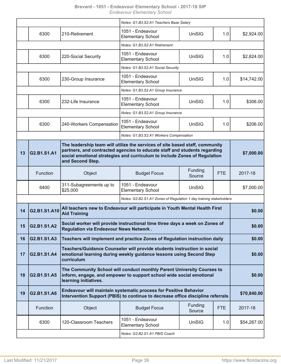|    |                                                                                                                                                                                                                                                                           |                                                                                                                                                              | Notes: G1.B3.S2.A1 Teachers Base Salary                                    |                   |            |             |  |
|----|---------------------------------------------------------------------------------------------------------------------------------------------------------------------------------------------------------------------------------------------------------------------------|--------------------------------------------------------------------------------------------------------------------------------------------------------------|----------------------------------------------------------------------------|-------------------|------------|-------------|--|
|    | 6300                                                                                                                                                                                                                                                                      | 210-Retirement                                                                                                                                               | 1051 - Endeavour<br><b>Elementary School</b>                               | <b>UniSIG</b>     | 1.0        | \$2,924.00  |  |
|    |                                                                                                                                                                                                                                                                           |                                                                                                                                                              | Notes: G1.B3.S2.A1 Retirement                                              |                   |            |             |  |
|    | 6300                                                                                                                                                                                                                                                                      | 220-Social Security                                                                                                                                          | 1051 - Endeavour<br><b>Elementary School</b>                               | <b>UniSIG</b>     | 1.0        | \$2,824.00  |  |
|    |                                                                                                                                                                                                                                                                           |                                                                                                                                                              | Notes: G1.B3.S2.A1 Social Security                                         |                   |            |             |  |
|    | 6300                                                                                                                                                                                                                                                                      | 230-Group Insurance                                                                                                                                          | 1051 - Endeavour<br><b>Elementary School</b>                               | <b>UniSIG</b>     | 1.0        | \$14,742.00 |  |
|    |                                                                                                                                                                                                                                                                           |                                                                                                                                                              | Notes: G1.B3.S2.A1 Group Insurance                                         |                   |            |             |  |
|    | 6300                                                                                                                                                                                                                                                                      | 232-Life Insurance                                                                                                                                           | 1051 - Endeavour<br><b>Elementary School</b>                               | UniSIG            | 1.0        | \$306.00    |  |
|    |                                                                                                                                                                                                                                                                           |                                                                                                                                                              | Notes: G1.B3.S2.A1 Group Insurance                                         |                   |            |             |  |
|    | 6300                                                                                                                                                                                                                                                                      | 240-Workers Compensation                                                                                                                                     | 1051 - Endeavour<br><b>Elementary School</b>                               | UniSIG            | 1.0        | \$206.00    |  |
|    |                                                                                                                                                                                                                                                                           |                                                                                                                                                              | Notes: G1.B3.S2.A1 Workers Compensation                                    |                   |            |             |  |
| 13 | The leadership team will utilize the services of site based staff, community<br>partners, and contracted agencies to educate staff and students regarding<br>G2.B1.S1.A1<br>social emotional strategies and curriculum to include Zones of Regulation<br>and Second Step. |                                                                                                                                                              |                                                                            |                   | \$7,000.00 |             |  |
|    | Function                                                                                                                                                                                                                                                                  | Object                                                                                                                                                       | <b>Budget Focus</b>                                                        | Funding<br>Source | <b>FTE</b> | 2017-18     |  |
|    | 6400                                                                                                                                                                                                                                                                      | 311-Subagreements up to<br>\$25,000                                                                                                                          | 1051 - Endeavour<br><b>Elementary School</b>                               | <b>UniSIG</b>     |            | \$7,000.00  |  |
|    |                                                                                                                                                                                                                                                                           |                                                                                                                                                              | Notes: G2.B2.S1.A1 Zones of Regulation 1 day training stakeholders         |                   |            |             |  |
| 14 | All teachers new to Endeavour will participate in Youth Mental Health First<br>G2.B1.S1.A10<br><b>Aid Training</b>                                                                                                                                                        |                                                                                                                                                              |                                                                            |                   | \$0.00     |             |  |
| 15 | G2.B1.S1.A2                                                                                                                                                                                                                                                               | Social worker will provide instructional time three days a week on Zones of<br><b>Regulation via Endeavour News Network.</b>                                 |                                                                            |                   |            | \$0.00      |  |
| 16 | G2.B1.S1.A3                                                                                                                                                                                                                                                               |                                                                                                                                                              | Teachers will implement and practice Zones of Regulation instruction daily |                   |            | \$0.00      |  |
| 17 | G2.B1.S1.A4                                                                                                                                                                                                                                                               | Teachers/Guidance Counselor will provide students instruction in social<br>emotional learning during weekly guidance lessons using Second Step<br>curriculum |                                                                            |                   |            | \$0.00      |  |
| 18 | The Community School will conduct monthly Parent University Courses to<br>inform, engage, and empower to support school wide social emotional<br>G2.B1.S1.A5<br>learning initiatives.                                                                                     |                                                                                                                                                              |                                                                            |                   | \$0.00     |             |  |
| 19 | G2.B1.S1.A6                                                                                                                                                                                                                                                               | <b>Endeavour will maintain systematic process for Positive Behavior</b><br>Intervention Support (PBIS) to continue to decrease office discipline referrals   |                                                                            |                   |            | \$70,840.00 |  |
|    | Function                                                                                                                                                                                                                                                                  | Object                                                                                                                                                       | <b>Budget Focus</b>                                                        | Funding<br>Source | <b>FTE</b> | 2017-18     |  |
|    | 6300                                                                                                                                                                                                                                                                      | 120-Classroom Teachers                                                                                                                                       | 1051 - Endeavour<br><b>Elementary School</b>                               | UniSIG            | 1.0        | \$54,267.00 |  |
|    |                                                                                                                                                                                                                                                                           |                                                                                                                                                              | Notes: G2.B2.S1.A1 PBIS Coach                                              |                   |            |             |  |